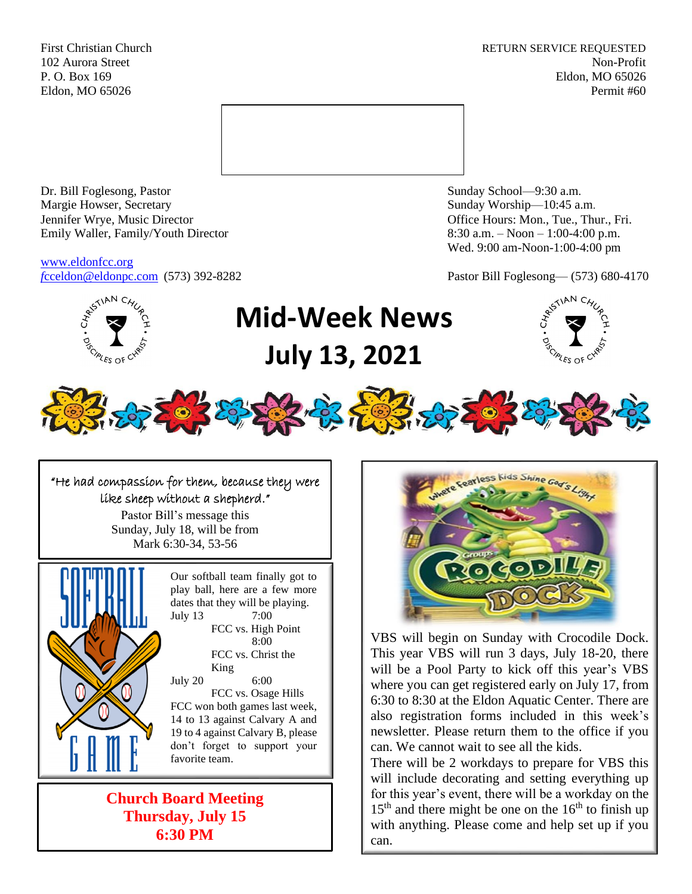First Christian Church **RETURN SERVICE REQUESTED** 102 Aurora Street Non-Profit P. O. Box 169 Eldon, MO 65026 Eldon, MO 65026 Permit #60



Dr. Bill Foglesong, Pastor Sunday School—9:30 a.m. Margie Howser, Secretary Sunday Worship—10:45 a.m. Jennifer Wrye, Music Director Office Hours: Mon., Tue., Thur., Fri. Emily Waller, Family/Youth Director 8:30 a.m. – Noon – 1:00-4:00 p.m.

[www.eldonfcc.org](http://www.eldonfcc.org/)

Wed. 9:00 am-Noon-1:00-4:00 pm

*f*[cceldon@eldonpc.com](mailto:fcceldon@eldonpc.com) (573) 392-8282 Pastor Bill Foglesong— (573) 680-4170



# **Mid-Week News July 13, 2021**





"He had compassion for them, because they were like sheep without a shepherd." Pastor Bill's message this Sunday, July 18, will be from

Mark 6:30-34, 53-56



Our softball team finally got to play ball, here are a few more dates that they will be playing. July 13 7:00 FCC vs. High Point 8:00 FCC vs. Christ the King July 20 6:00 FCC vs. Osage Hills FCC won both games last week, 14 to 13 against Calvary A and 19 to 4 against Calvary B, please don't forget to support your favorite team.

**Church Board Meeting Thursday, July 15 6:30 PM**



VBS will begin on Sunday with Crocodile Dock. This year VBS will run 3 days, July 18-20, there will be a Pool Party to kick off this year's VBS where you can get registered early on July 17, from 6:30 to 8:30 at the Eldon Aquatic Center. There are also registration forms included in this week's newsletter. Please return them to the office if you can. We cannot wait to see all the kids.

There will be 2 workdays to prepare for VBS this will include decorating and setting everything up for this year's event, there will be a workday on the  $15<sup>th</sup>$  and there might be one on the  $16<sup>th</sup>$  to finish up with anything. Please come and help set up if you can.